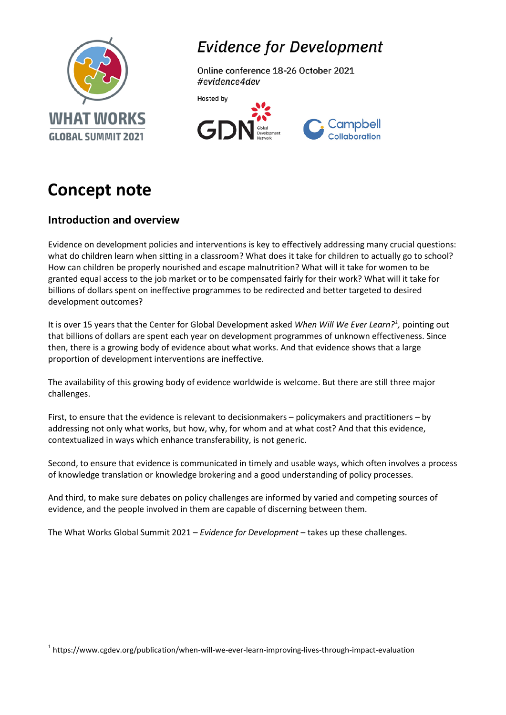

# **Evidence for Development**

Online conference 18-26 October 2021 #evidence4dev





# **Concept note**

 $\overline{a}$ 

# **Introduction and overview**

Evidence on development policies and interventions is key to effectively addressing many crucial questions: what do children learn when sitting in a classroom? What does it take for children to actually go to school? How can children be properly nourished and escape malnutrition? What will it take for women to be granted equal access to the job market or to be compensated fairly for their work? What will it take for billions of dollars spent on ineffective programmes to be redirected and better targeted to desired development outcomes?

It is over 15 years that the Center for Global Development asked *When Will We Ever Learn?[1](#page-0-0) ,* pointing out that billions of dollars are spent each year on development programmes of unknown effectiveness. Since then, there is a growing body of evidence about what works. And that evidence shows that a large proportion of development interventions are ineffective.

The availability of this growing body of evidence worldwide is welcome. But there are still three major challenges.

First, to ensure that the evidence is relevant to decisionmakers – policymakers and practitioners – by addressing not only what works, but how, why, for whom and at what cost? And that this evidence, contextualized in ways which enhance transferability, is not generic.

Second, to ensure that evidence is communicated in timely and usable ways, which often involves a process of knowledge translation or knowledge brokering and a good understanding of policy processes.

And third, to make sure debates on policy challenges are informed by varied and competing sources of evidence, and the people involved in them are capable of discerning between them.

The What Works Global Summit 2021 – *Evidence for Development* – takes up these challenges.

<span id="page-0-0"></span><sup>&</sup>lt;sup>1</sup> https://www.cgdev.org/publication/when-will-we-ever-learn-improving-lives-through-impact-evaluation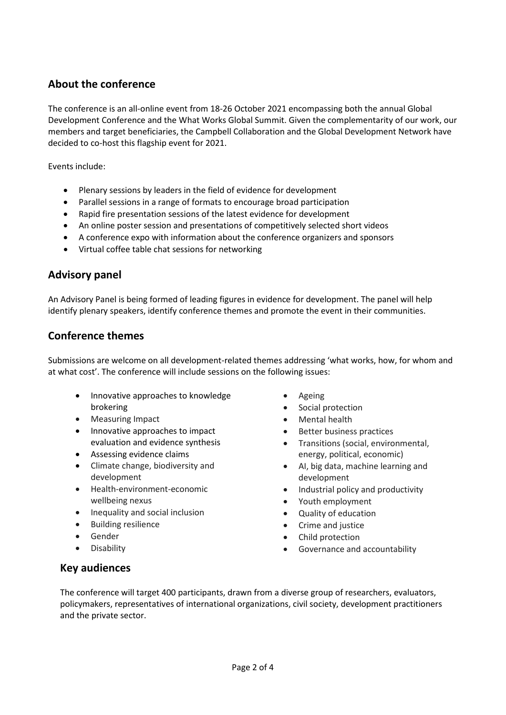# **About the conference**

The conference is an all-online event from 18-26 October 2021 encompassing both the annual Global Development Conference and the What Works Global Summit. Given the complementarity of our work, our members and target beneficiaries, the Campbell Collaboration and the Global Development Network have decided to co-host this flagship event for 2021.

Events include:

- Plenary sessions by leaders in the field of evidence for development
- Parallel sessions in a range of formats to encourage broad participation
- Rapid fire presentation sessions of the latest evidence for development
- An online poster session and presentations of competitively selected short videos
- A conference expo with information about the conference organizers and sponsors
- Virtual coffee table chat sessions for networking

## **Advisory panel**

An Advisory Panel is being formed of leading figures in evidence for development. The panel will help identify plenary speakers, identify conference themes and promote the event in their communities.

## **Conference themes**

Submissions are welcome on all development-related themes addressing 'what works, how, for whom and at what cost'. The conference will include sessions on the following issues:

- Innovative approaches to knowledge brokering
- Measuring Impact
- Innovative approaches to impact evaluation and evidence synthesis
- Assessing evidence claims
- Climate change, biodiversity and development
- Health-environment-economic wellbeing nexus
- Inequality and social inclusion
- Building resilience
- Gender
- Disability
- Ageing
- Social protection
- Mental health
- Better business practices
- Transitions (social, environmental, energy, political, economic)
- AI, big data, machine learning and development
- Industrial policy and productivity
- Youth employment
- Quality of education
- Crime and justice
- Child protection
- Governance and accountability

### **Key audiences**

The conference will target 400 participants, drawn from a diverse group of researchers, evaluators, policymakers, representatives of international organizations, civil society, development practitioners and the private sector.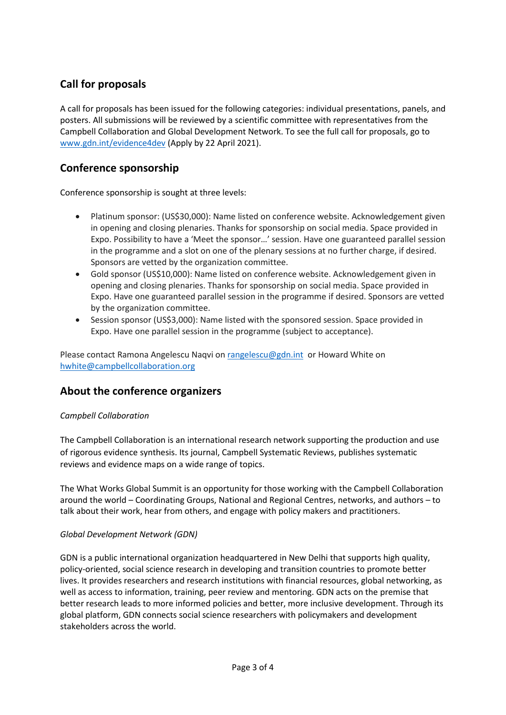# **Call for proposals**

A call for proposals has been issued for the following categories: individual presentations, panels, and posters. All submissions will be reviewed by a scientific committee with representatives from the Campbell Collaboration and Global Development Network. To see the full call for proposals, go to [www.gdn.int/evidence4dev](http://www.gdn.int/evidence4dev) (Apply by 22 April 2021).

## **Conference sponsorship**

Conference sponsorship is sought at three levels:

- Platinum sponsor: (US\$30,000): Name listed on conference website. Acknowledgement given in opening and closing plenaries. Thanks for sponsorship on social media. Space provided in Expo. Possibility to have a 'Meet the sponsor…' session. Have one guaranteed parallel session in the programme and a slot on one of the plenary sessions at no further charge, if desired. Sponsors are vetted by the organization committee.
- Gold sponsor (US\$10,000): Name listed on conference website. Acknowledgement given in opening and closing plenaries. Thanks for sponsorship on social media. Space provided in Expo. Have one guaranteed parallel session in the programme if desired. Sponsors are vetted by the organization committee.
- Session sponsor (US\$3,000): Name listed with the sponsored session. Space provided in Expo. Have one parallel session in the programme (subject to acceptance).

Please contact Ramona Angelescu Naqvi o[n rangelescu@gdn.int](mailto:rangelescu@gdn.int) or Howard White on [hwhite@campbellcollaboration.org](mailto:hwhite@campbellcollaboration.org)

### **About the conference organizers**

#### *Campbell Collaboration*

The Campbell Collaboration is an international research network supporting the production and use of rigorous evidence synthesis. Its journal, Campbell Systematic Reviews, publishes systematic reviews and evidence maps on a wide range of topics.

The What Works Global Summit is an opportunity for those working with the Campbell Collaboration around the world – Coordinating Groups, National and Regional Centres, networks, and authors – to talk about their work, hear from others, and engage with policy makers and practitioners.

#### *Global Development Network (GDN)*

GDN is a public international organization headquartered in New Delhi that supports high quality, policy-oriented, social science research in developing and transition countries to promote better lives. It provides researchers and research institutions with financial resources, global networking, as well as access to information, training, peer review and mentoring. GDN acts on the premise that better research leads to more informed policies and better, more inclusive development. Through its global platform, GDN connects social science researchers with policymakers and development stakeholders across the world.